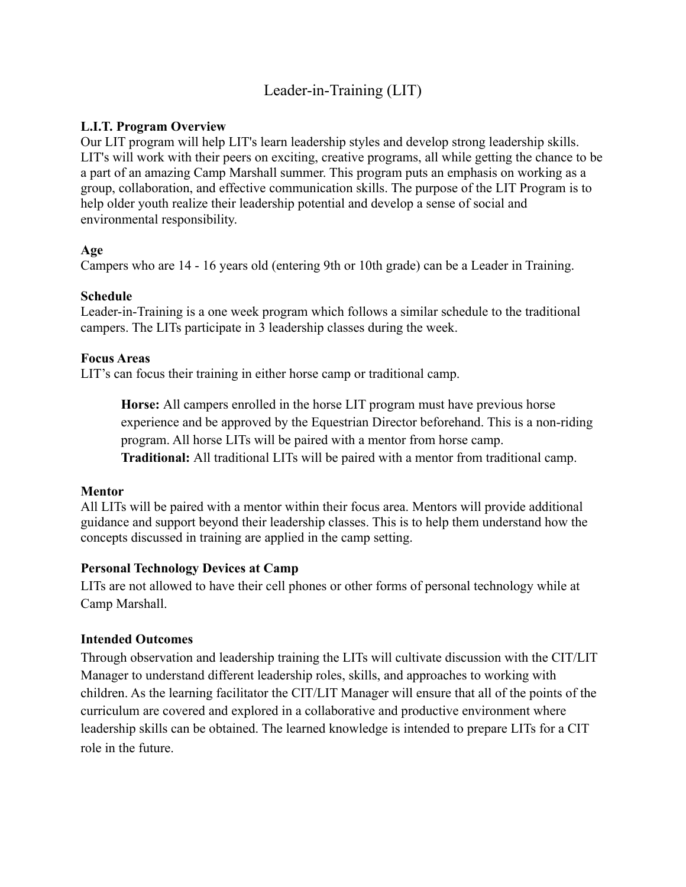# Leader-in-Training (LIT)

# **L.I.T. Program Overview**

Our LIT program will help LIT's learn leadership styles and develop strong leadership skills. LIT's will work with their peers on exciting, creative programs, all while getting the chance to be a part of an amazing Camp Marshall summer. This program puts an emphasis on working as a group, collaboration, and effective communication skills. The purpose of the LIT Program is to help older youth realize their leadership potential and develop a sense of social and environmental responsibility.

# **Age**

Campers who are 14 - 16 years old (entering 9th or 10th grade) can be a Leader in Training.

#### **Schedule**

Leader-in-Training is a one week program which follows a similar schedule to the traditional campers. The LITs participate in 3 leadership classes during the week.

#### **Focus Areas**

LIT's can focus their training in either horse camp or traditional camp.

**Horse:** All campers enrolled in the horse LIT program must have previous horse experience and be approved by the Equestrian Director beforehand. This is a non-riding program. All horse LITs will be paired with a mentor from horse camp. **Traditional:** All traditional LITs will be paired with a mentor from traditional camp.

#### **Mentor**

All LITs will be paired with a mentor within their focus area. Mentors will provide additional guidance and support beyond their leadership classes. This is to help them understand how the concepts discussed in training are applied in the camp setting.

# **Personal Technology Devices at Camp**

LITs are not allowed to have their cell phones or other forms of personal technology while at Camp Marshall.

# **Intended Outcomes**

Through observation and leadership training the LITs will cultivate discussion with the CIT/LIT Manager to understand different leadership roles, skills, and approaches to working with children. As the learning facilitator the CIT/LIT Manager will ensure that all of the points of the curriculum are covered and explored in a collaborative and productive environment where leadership skills can be obtained. The learned knowledge is intended to prepare LITs for a CIT role in the future.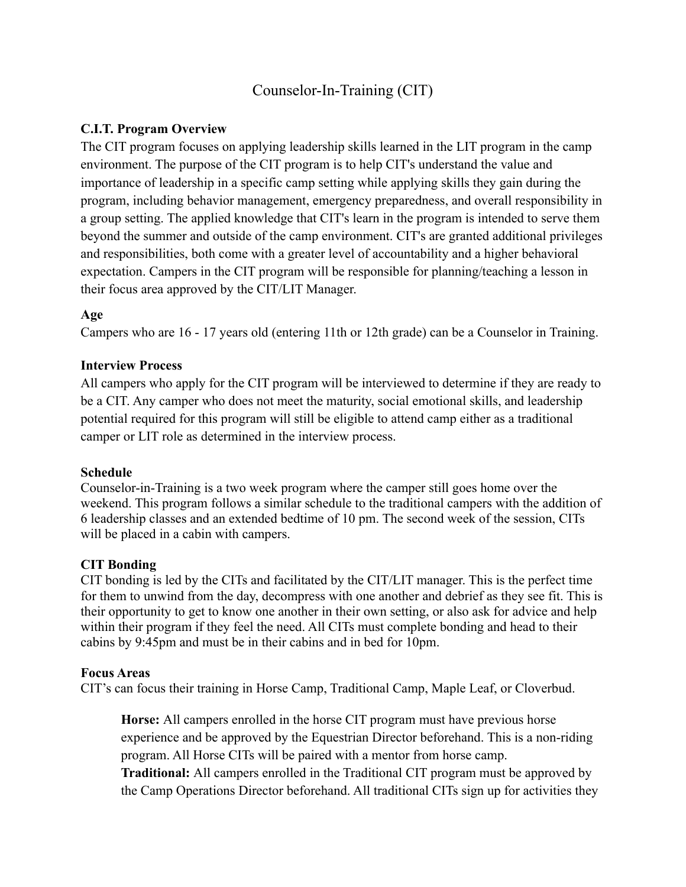# Counselor-In-Training (CIT)

# **C.I.T. Program Overview**

The CIT program focuses on applying leadership skills learned in the LIT program in the camp environment. The purpose of the CIT program is to help CIT's understand the value and importance of leadership in a specific camp setting while applying skills they gain during the program, including behavior management, emergency preparedness, and overall responsibility in a group setting. The applied knowledge that CIT's learn in the program is intended to serve them beyond the summer and outside of the camp environment. CIT's are granted additional privileges and responsibilities, both come with a greater level of accountability and a higher behavioral expectation. Campers in the CIT program will be responsible for planning/teaching a lesson in their focus area approved by the CIT/LIT Manager.

# **Age**

Campers who are 16 - 17 years old (entering 11th or 12th grade) can be a Counselor in Training.

# **Interview Process**

All campers who apply for the CIT program will be interviewed to determine if they are ready to be a CIT. Any camper who does not meet the maturity, social emotional skills, and leadership potential required for this program will still be eligible to attend camp either as a traditional camper or LIT role as determined in the interview process.

# **Schedule**

Counselor-in-Training is a two week program where the camper still goes home over the weekend. This program follows a similar schedule to the traditional campers with the addition of 6 leadership classes and an extended bedtime of 10 pm. The second week of the session, CITs will be placed in a cabin with campers.

# **CIT Bonding**

CIT bonding is led by the CITs and facilitated by the CIT/LIT manager. This is the perfect time for them to unwind from the day, decompress with one another and debrief as they see fit. This is their opportunity to get to know one another in their own setting, or also ask for advice and help within their program if they feel the need. All CITs must complete bonding and head to their cabins by 9:45pm and must be in their cabins and in bed for 10pm.

# **Focus Areas**

CIT's can focus their training in Horse Camp, Traditional Camp, Maple Leaf, or Cloverbud.

**Horse:** All campers enrolled in the horse CIT program must have previous horse experience and be approved by the Equestrian Director beforehand. This is a non-riding program. All Horse CITs will be paired with a mentor from horse camp.

**Traditional:** All campers enrolled in the Traditional CIT program must be approved by the Camp Operations Director beforehand. All traditional CITs sign up for activities they